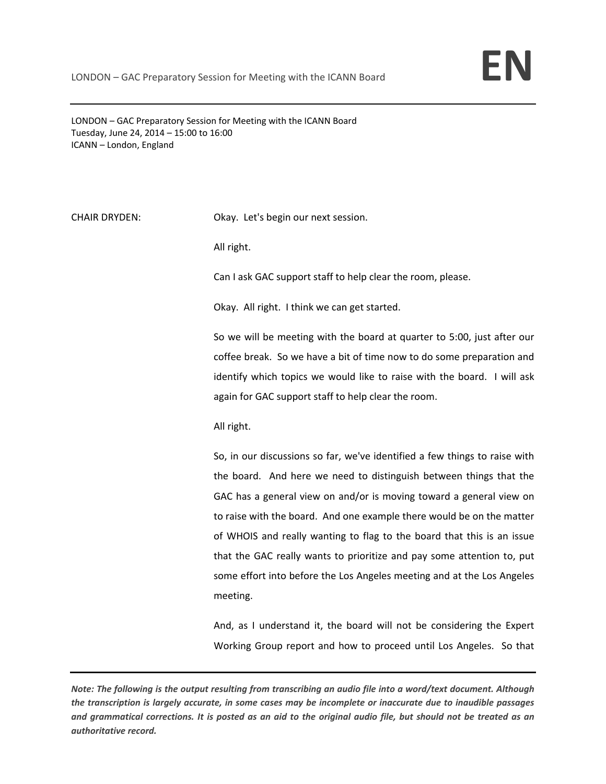LONDON – GAC Preparatory Session for Meeting with the ICANN Board Tuesday, June 24, 2014 – 15:00 to 16:00 ICANN – London, England

CHAIR DRYDEN: Okay. Let's begin our next session.

All right.

Can I ask GAC support staff to help clear the room, please.

Okay. All right. I think we can get started.

So we will be meeting with the board at quarter to 5:00, just after our coffee break. So we have a bit of time now to do some preparation and identify which topics we would like to raise with the board. I will ask again for GAC support staff to help clear the room.

All right.

So, in our discussions so far, we've identified a few things to raise with the board. And here we need to distinguish between things that the GAC has a general view on and/or is moving toward a general view on to raise with the board. And one example there would be on the matter of WHOIS and really wanting to flag to the board that this is an issue that the GAC really wants to prioritize and pay some attention to, put some effort into before the Los Angeles meeting and at the Los Angeles meeting.

And, as I understand it, the board will not be considering the Expert Working Group report and how to proceed until Los Angeles. So that

Note: The following is the output resulting from transcribing an audio file into a word/text document. Although the transcription is largely accurate, in some cases may be incomplete or inaccurate due to inaudible passages and grammatical corrections. It is posted as an aid to the original audio file, but should not be treated as an *authoritative record.*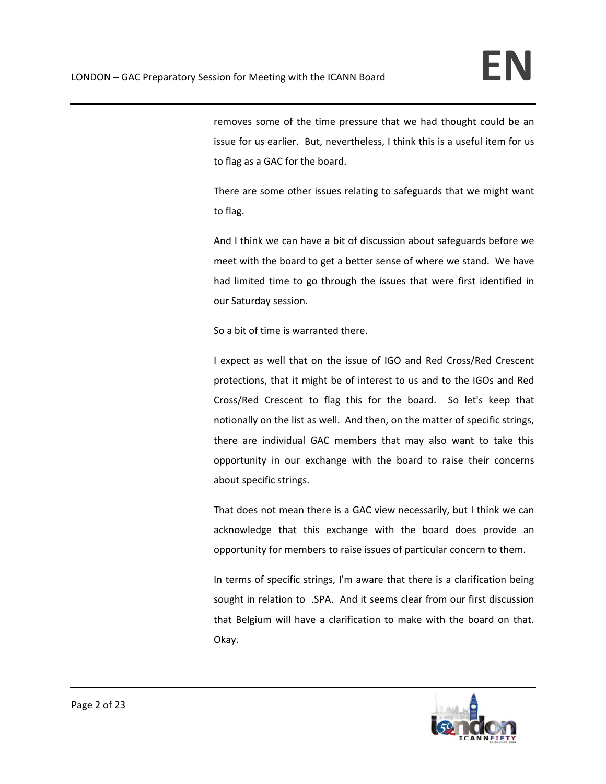removes some of the time pressure that we had thought could be an issue for us earlier. But, nevertheless, I think this is a useful item for us to flag as a GAC for the board.

There are some other issues relating to safeguards that we might want to flag.

And I think we can have a bit of discussion about safeguards before we meet with the board to get a better sense of where we stand. We have had limited time to go through the issues that were first identified in our Saturday session.

So a bit of time is warranted there.

I expect as well that on the issue of IGO and Red Cross/Red Crescent protections, that it might be of interest to us and to the IGOs and Red Cross/Red Crescent to flag this for the board. So let's keep that notionally on the list as well. And then, on the matter of specific strings, there are individual GAC members that may also want to take this opportunity in our exchange with the board to raise their concerns about specific strings.

That does not mean there is a GAC view necessarily, but I think we can acknowledge that this exchange with the board does provide an opportunity for members to raise issues of particular concern to them.

In terms of specific strings, I'm aware that there is a clarification being sought in relation to .SPA. And it seems clear from our first discussion that Belgium will have a clarification to make with the board on that. Okay.

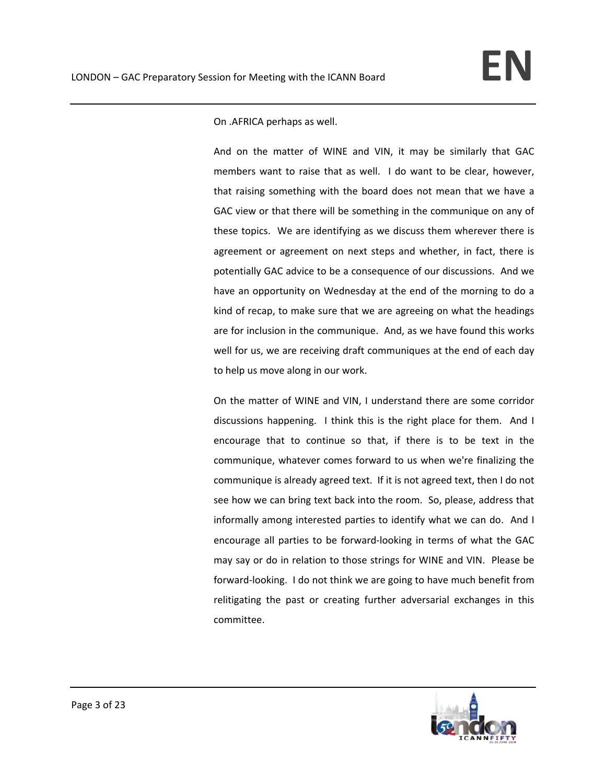On .AFRICA perhaps as well.

And on the matter of WINE and VIN, it may be similarly that GAC members want to raise that as well. I do want to be clear, however, that raising something with the board does not mean that we have a GAC view or that there will be something in the communique on any of these topics. We are identifying as we discuss them wherever there is agreement or agreement on next steps and whether, in fact, there is potentially GAC advice to be a consequence of our discussions. And we have an opportunity on Wednesday at the end of the morning to do a kind of recap, to make sure that we are agreeing on what the headings are for inclusion in the communique. And, as we have found this works well for us, we are receiving draft communiques at the end of each day to help us move along in our work.

On the matter of WINE and VIN, I understand there are some corridor discussions happening. I think this is the right place for them. And I encourage that to continue so that, if there is to be text in the communique, whatever comes forward to us when we're finalizing the communique is already agreed text. If it is not agreed text, then I do not see how we can bring text back into the room. So, please, address that informally among interested parties to identify what we can do. And I encourage all parties to be forward‐looking in terms of what the GAC may say or do in relation to those strings for WINE and VIN. Please be forward‐looking. I do not think we are going to have much benefit from relitigating the past or creating further adversarial exchanges in this committee.

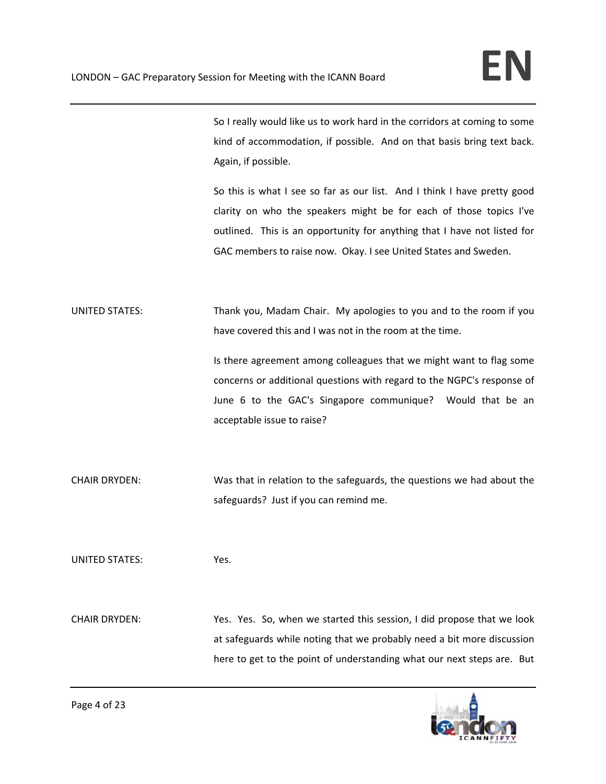So I really would like us to work hard in the corridors at coming to some kind of accommodation, if possible. And on that basis bring text back. Again, if possible.

So this is what I see so far as our list. And I think I have pretty good clarity on who the speakers might be for each of those topics I've outlined. This is an opportunity for anything that I have not listed for GAC members to raise now. Okay. I see United States and Sweden.

UNITED STATES: Thank you, Madam Chair. My apologies to you and to the room if you have covered this and I was not in the room at the time.

> Is there agreement among colleagues that we might want to flag some concerns or additional questions with regard to the NGPC's response of June 6 to the GAC's Singapore communique? Would that be an acceptable issue to raise?

CHAIR DRYDEN: Was that in relation to the safeguards, the questions we had about the safeguards? Just if you can remind me.

UNITED STATES: Yes.

CHAIR DRYDEN: Yes. Yes. So, when we started this session, I did propose that we look at safeguards while noting that we probably need a bit more discussion here to get to the point of understanding what our next steps are. But

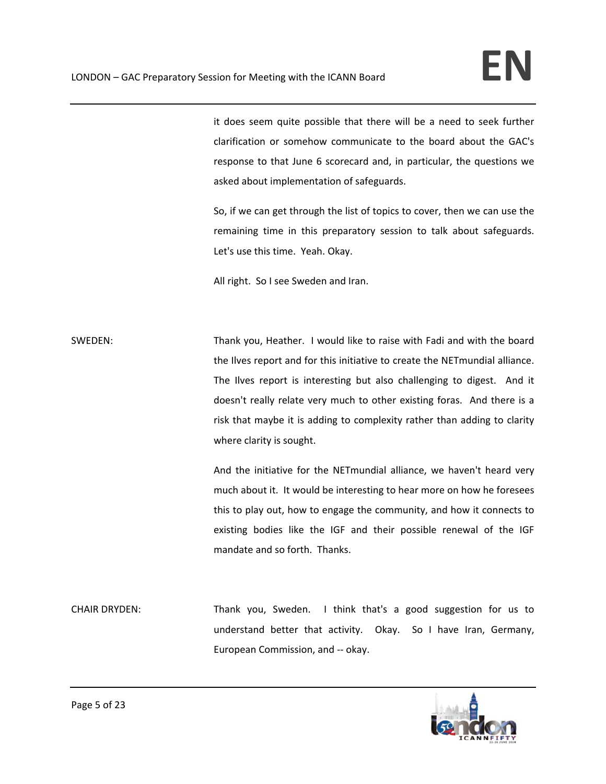it does seem quite possible that there will be a need to seek further clarification or somehow communicate to the board about the GAC's response to that June 6 scorecard and, in particular, the questions we asked about implementation of safeguards.

So, if we can get through the list of topics to cover, then we can use the remaining time in this preparatory session to talk about safeguards. Let's use this time. Yeah. Okay.

All right. So I see Sweden and Iran.

SWEDEN: Thank you, Heather. I would like to raise with Fadi and with the board the Ilves report and for this initiative to create the NETmundial alliance. The Ilves report is interesting but also challenging to digest. And it doesn't really relate very much to other existing foras. And there is a risk that maybe it is adding to complexity rather than adding to clarity where clarity is sought.

> And the initiative for the NETmundial alliance, we haven't heard very much about it. It would be interesting to hear more on how he foresees this to play out, how to engage the community, and how it connects to existing bodies like the IGF and their possible renewal of the IGF mandate and so forth. Thanks.

CHAIR DRYDEN: Thank you, Sweden. I think that's a good suggestion for us to understand better that activity. Okay. So I have Iran, Germany, European Commission, and ‐‐ okay.

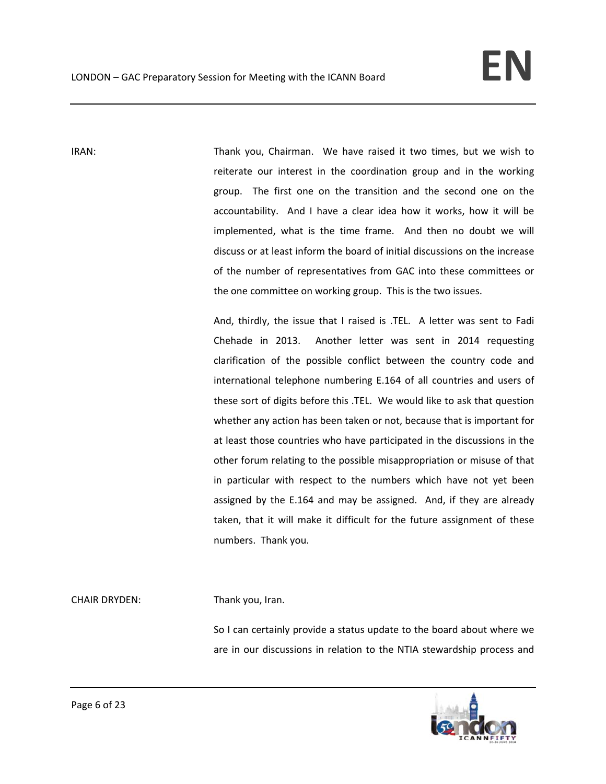IRAN: Thank you, Chairman. We have raised it two times, but we wish to reiterate our interest in the coordination group and in the working group. The first one on the transition and the second one on the accountability. And I have a clear idea how it works, how it will be implemented, what is the time frame. And then no doubt we will discuss or at least inform the board of initial discussions on the increase of the number of representatives from GAC into these committees or the one committee on working group. This is the two issues.

> And, thirdly, the issue that I raised is .TEL. A letter was sent to Fadi Chehade in 2013. Another letter was sent in 2014 requesting clarification of the possible conflict between the country code and international telephone numbering E.164 of all countries and users of these sort of digits before this .TEL. We would like to ask that question whether any action has been taken or not, because that is important for at least those countries who have participated in the discussions in the other forum relating to the possible misappropriation or misuse of that in particular with respect to the numbers which have not yet been assigned by the E.164 and may be assigned. And, if they are already taken, that it will make it difficult for the future assignment of these numbers. Thank you.

CHAIR DRYDEN: Thank you, Iran.

So I can certainly provide a status update to the board about where we are in our discussions in relation to the NTIA stewardship process and

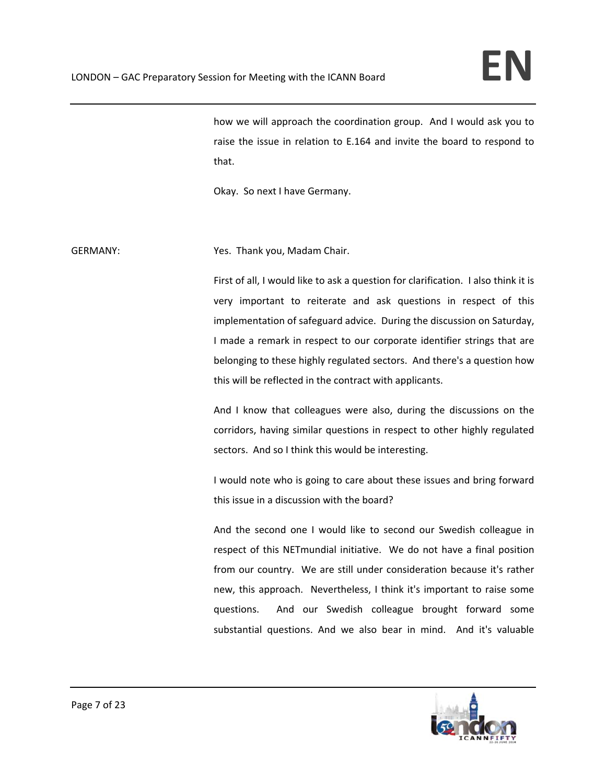how we will approach the coordination group. And I would ask you to raise the issue in relation to E.164 and invite the board to respond to that.

Okay. So next I have Germany.

GERMANY: **Sexternal Strutus** Yes. Thank you, Madam Chair.

First of all, I would like to ask a question for clarification. I also think it is very important to reiterate and ask questions in respect of this implementation of safeguard advice. During the discussion on Saturday, I made a remark in respect to our corporate identifier strings that are belonging to these highly regulated sectors. And there's a question how this will be reflected in the contract with applicants.

And I know that colleagues were also, during the discussions on the corridors, having similar questions in respect to other highly regulated sectors. And so I think this would be interesting.

I would note who is going to care about these issues and bring forward this issue in a discussion with the board?

And the second one I would like to second our Swedish colleague in respect of this NETmundial initiative. We do not have a final position from our country. We are still under consideration because it's rather new, this approach. Nevertheless, I think it's important to raise some questions. And our Swedish colleague brought forward some substantial questions. And we also bear in mind. And it's valuable

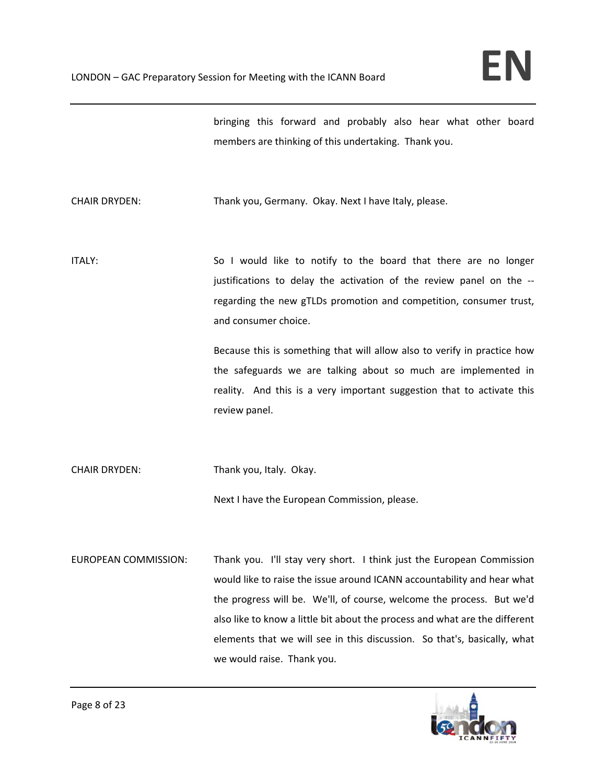bringing this forward and probably also hear what other board members are thinking of this undertaking. Thank you.

CHAIR DRYDEN: Thank you, Germany. Okay. Next I have Italy, please.

ITALY: So I would like to notify to the board that there are no longer justifications to delay the activation of the review panel on the ‐‐ regarding the new gTLDs promotion and competition, consumer trust, and consumer choice.

> Because this is something that will allow also to verify in practice how the safeguards we are talking about so much are implemented in reality. And this is a very important suggestion that to activate this review panel.

CHAIR DRYDEN: Thank you, Italy. Okay.

Next I have the European Commission, please.

EUROPEAN COMMISSION: Thank you. I'll stay very short. I think just the European Commission would like to raise the issue around ICANN accountability and hear what the progress will be. We'll, of course, welcome the process. But we'd also like to know a little bit about the process and what are the different elements that we will see in this discussion. So that's, basically, what we would raise. Thank you.

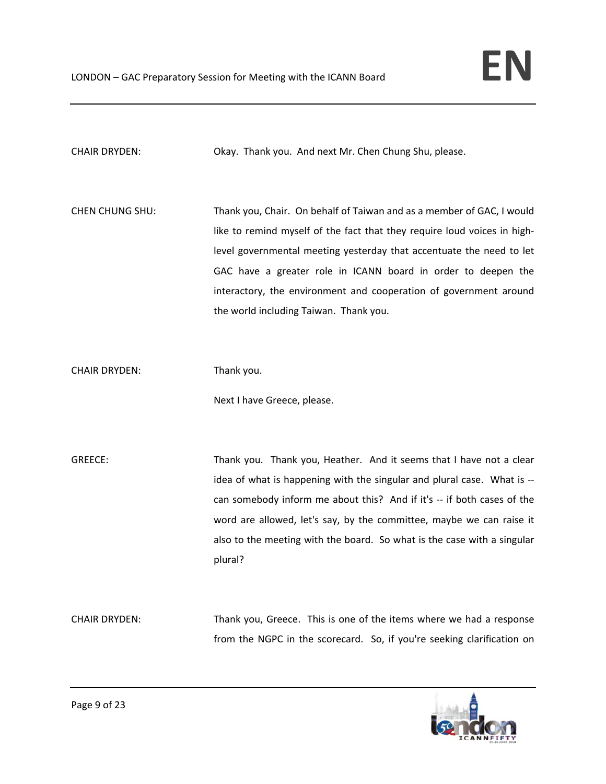CHAIR DRYDEN: Okay. Thank you. And next Mr. Chen Chung Shu, please.

CHEN CHUNG SHU: Thank you, Chair. On behalf of Taiwan and as a member of GAC, I would like to remind myself of the fact that they require loud voices in high‐ level governmental meeting yesterday that accentuate the need to let GAC have a greater role in ICANN board in order to deepen the interactory, the environment and cooperation of government around the world including Taiwan. Thank you.

CHAIR DRYDEN: Thank you.

Next I have Greece, please.

GREECE: Thank you. Thank you, Heather. And it seems that I have not a clear idea of what is happening with the singular and plural case. What is ‐‐ can somebody inform me about this? And if it's -- if both cases of the word are allowed, let's say, by the committee, maybe we can raise it also to the meeting with the board. So what is the case with a singular plural?

CHAIR DRYDEN: Thank you, Greece. This is one of the items where we had a response from the NGPC in the scorecard. So, if you're seeking clarification on

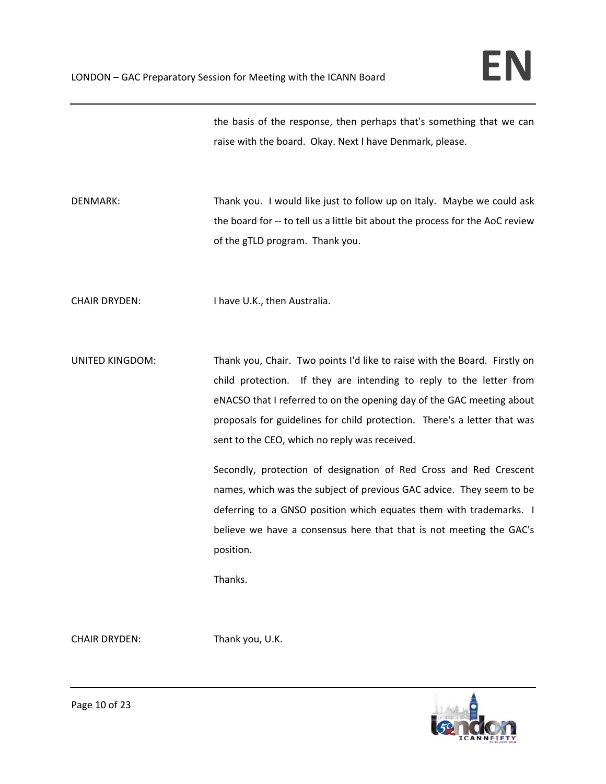the basis of the response, then perhaps that's something that we can raise with the board. Okay. Next I have Denmark, please.

DENMARK: Thank you. I would like just to follow up on Italy. Maybe we could ask the board for ‐‐ to tell us a little bit about the process for the AoC review of the gTLD program. Thank you.

CHAIR DRYDEN: I have U.K., then Australia.

UNITED KINGDOM: Thank you, Chair. Two points I'd like to raise with the Board. Firstly on child protection. If they are intending to reply to the letter from eNACSO that I referred to on the opening day of the GAC meeting about proposals for guidelines for child protection. There's a letter that was sent to the CEO, which no reply was received.

> Secondly, protection of designation of Red Cross and Red Crescent names, which was the subject of previous GAC advice. They seem to be deferring to a GNSO position which equates them with trademarks. I believe we have a consensus here that that is not meeting the GAC's position.

Thanks.

CHAIR DRYDEN: Thank you, U.K.

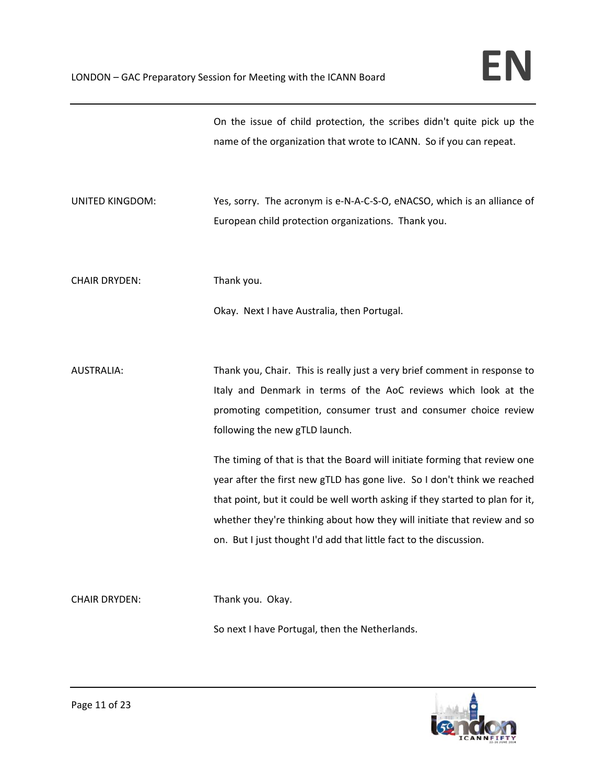|                        | On the issue of child protection, the scribes didn't quite pick up the<br>name of the organization that wrote to ICANN. So if you can repeat.                                                                                                                                                                                                                                                                                                                                                                                                                                                                                                   |
|------------------------|-------------------------------------------------------------------------------------------------------------------------------------------------------------------------------------------------------------------------------------------------------------------------------------------------------------------------------------------------------------------------------------------------------------------------------------------------------------------------------------------------------------------------------------------------------------------------------------------------------------------------------------------------|
| <b>UNITED KINGDOM:</b> | Yes, sorry. The acronym is e-N-A-C-S-O, eNACSO, which is an alliance of<br>European child protection organizations. Thank you.                                                                                                                                                                                                                                                                                                                                                                                                                                                                                                                  |
| <b>CHAIR DRYDEN:</b>   | Thank you.                                                                                                                                                                                                                                                                                                                                                                                                                                                                                                                                                                                                                                      |
|                        | Okay. Next I have Australia, then Portugal.                                                                                                                                                                                                                                                                                                                                                                                                                                                                                                                                                                                                     |
| <b>AUSTRALIA:</b>      | Thank you, Chair. This is really just a very brief comment in response to<br>Italy and Denmark in terms of the AoC reviews which look at the<br>promoting competition, consumer trust and consumer choice review<br>following the new gTLD launch.<br>The timing of that is that the Board will initiate forming that review one<br>year after the first new gTLD has gone live. So I don't think we reached<br>that point, but it could be well worth asking if they started to plan for it,<br>whether they're thinking about how they will initiate that review and so<br>on. But I just thought I'd add that little fact to the discussion. |
| <b>CHAIR DRYDEN:</b>   | Thank you. Okay.<br>So next I have Portugal, then the Netherlands.                                                                                                                                                                                                                                                                                                                                                                                                                                                                                                                                                                              |

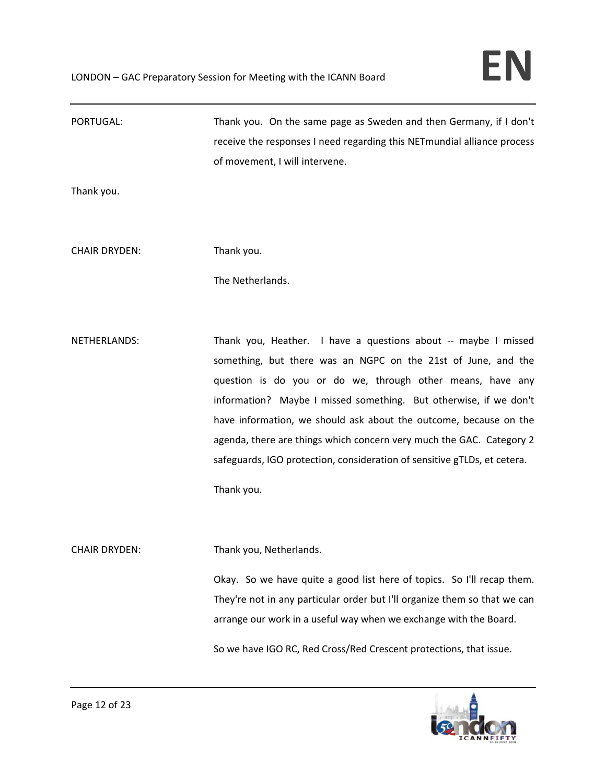| PORTUGAL:            | Thank you. On the same page as Sweden and then Germany, if I don't        |
|----------------------|---------------------------------------------------------------------------|
|                      | receive the responses I need regarding this NETmundial alliance process   |
|                      | of movement, I will intervene.                                            |
| Thank you.           |                                                                           |
|                      |                                                                           |
|                      |                                                                           |
| <b>CHAIR DRYDEN:</b> | Thank you.                                                                |
|                      | The Netherlands.                                                          |
|                      |                                                                           |
|                      |                                                                           |
| NETHERLANDS:         | Thank you, Heather. I have a questions about -- maybe I missed            |
|                      | something, but there was an NGPC on the 21st of June, and the             |
|                      | question is do you or do we, through other means, have any                |
|                      | information? Maybe I missed something. But otherwise, if we don't         |
|                      | have information, we should ask about the outcome, because on the         |
|                      | agenda, there are things which concern very much the GAC. Category 2      |
|                      | safeguards, IGO protection, consideration of sensitive gTLDs, et cetera.  |
|                      | Thank you.                                                                |
|                      |                                                                           |
| <b>CHAIR DRYDEN:</b> | Thank you, Netherlands.                                                   |
|                      | Okay. So we have quite a good list here of topics. So I'll recap them.    |
|                      | They're not in any particular order but I'll organize them so that we can |
|                      | arrange our work in a useful way when we exchange with the Board.         |
|                      |                                                                           |
|                      | So we have IGO RC, Red Cross/Red Crescent protections, that issue.        |

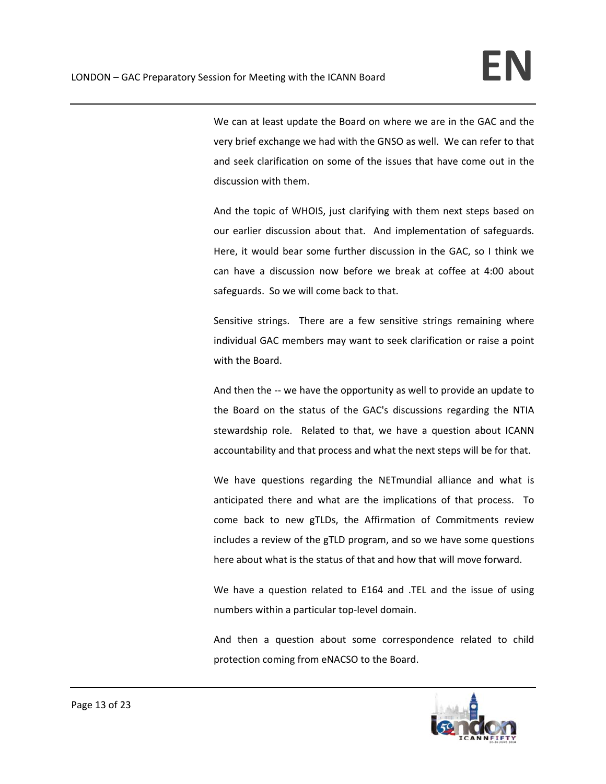We can at least update the Board on where we are in the GAC and the very brief exchange we had with the GNSO as well. We can refer to that and seek clarification on some of the issues that have come out in the discussion with them.

And the topic of WHOIS, just clarifying with them next steps based on our earlier discussion about that. And implementation of safeguards. Here, it would bear some further discussion in the GAC, so I think we can have a discussion now before we break at coffee at 4:00 about safeguards. So we will come back to that.

Sensitive strings. There are a few sensitive strings remaining where individual GAC members may want to seek clarification or raise a point with the Board.

And then the -- we have the opportunity as well to provide an update to the Board on the status of the GAC's discussions regarding the NTIA stewardship role. Related to that, we have a question about ICANN accountability and that process and what the next steps will be for that.

We have questions regarding the NETmundial alliance and what is anticipated there and what are the implications of that process. To come back to new gTLDs, the Affirmation of Commitments review includes a review of the gTLD program, and so we have some questions here about what is the status of that and how that will move forward.

We have a question related to E164 and .TEL and the issue of using numbers within a particular top‐level domain.

And then a question about some correspondence related to child protection coming from eNACSO to the Board.

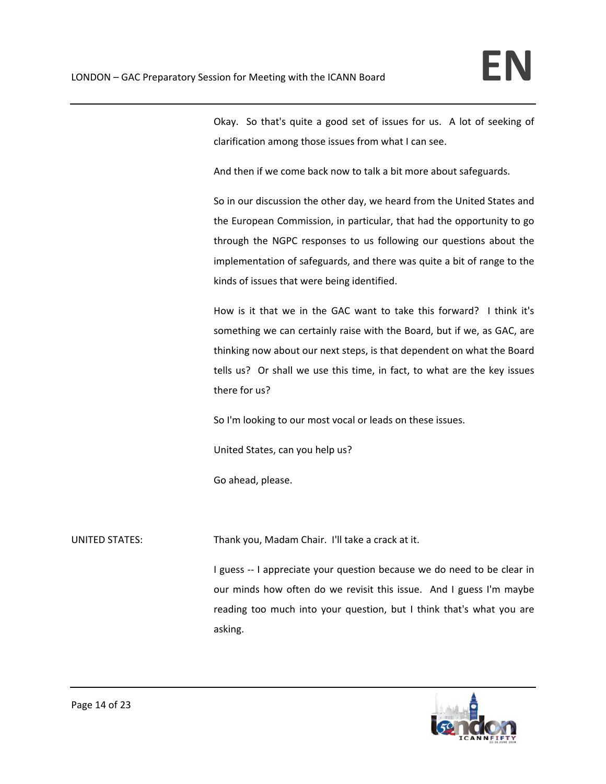Okay. So that's quite a good set of issues for us. A lot of seeking of clarification among those issues from what I can see.

And then if we come back now to talk a bit more about safeguards.

So in our discussion the other day, we heard from the United States and the European Commission, in particular, that had the opportunity to go through the NGPC responses to us following our questions about the implementation of safeguards, and there was quite a bit of range to the kinds of issues that were being identified.

How is it that we in the GAC want to take this forward? I think it's something we can certainly raise with the Board, but if we, as GAC, are thinking now about our next steps, is that dependent on what the Board tells us? Or shall we use this time, in fact, to what are the key issues there for us?

So I'm looking to our most vocal or leads on these issues.

United States, can you help us?

Go ahead, please.

UNITED STATES: Thank you, Madam Chair. I'll take a crack at it.

I guess -- I appreciate your question because we do need to be clear in our minds how often do we revisit this issue. And I guess I'm maybe reading too much into your question, but I think that's what you are asking.

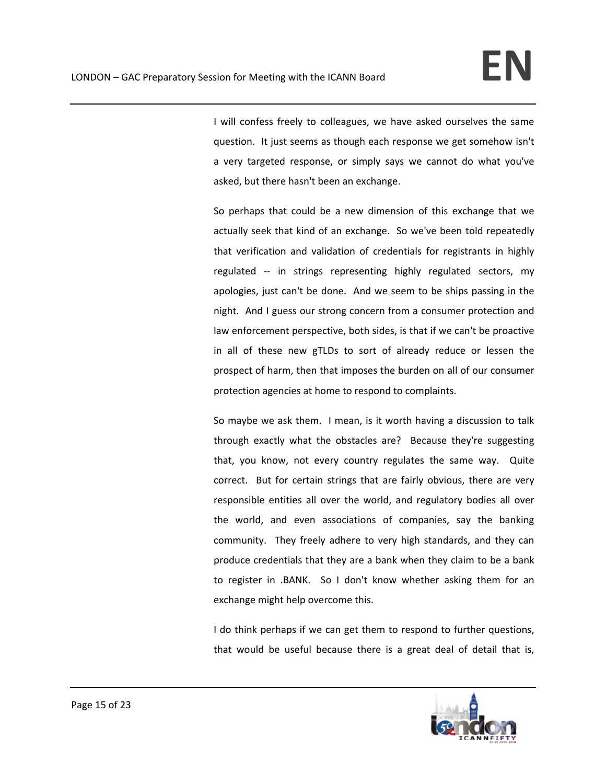I will confess freely to colleagues, we have asked ourselves the same question. It just seems as though each response we get somehow isn't a very targeted response, or simply says we cannot do what you've asked, but there hasn't been an exchange.

So perhaps that could be a new dimension of this exchange that we actually seek that kind of an exchange. So we've been told repeatedly that verification and validation of credentials for registrants in highly regulated ‐‐ in strings representing highly regulated sectors, my apologies, just can't be done. And we seem to be ships passing in the night. And I guess our strong concern from a consumer protection and law enforcement perspective, both sides, is that if we can't be proactive in all of these new gTLDs to sort of already reduce or lessen the prospect of harm, then that imposes the burden on all of our consumer protection agencies at home to respond to complaints.

So maybe we ask them. I mean, is it worth having a discussion to talk through exactly what the obstacles are? Because they're suggesting that, you know, not every country regulates the same way. Quite correct. But for certain strings that are fairly obvious, there are very responsible entities all over the world, and regulatory bodies all over the world, and even associations of companies, say the banking community. They freely adhere to very high standards, and they can produce credentials that they are a bank when they claim to be a bank to register in .BANK. So I don't know whether asking them for an exchange might help overcome this.

I do think perhaps if we can get them to respond to further questions, that would be useful because there is a great deal of detail that is,

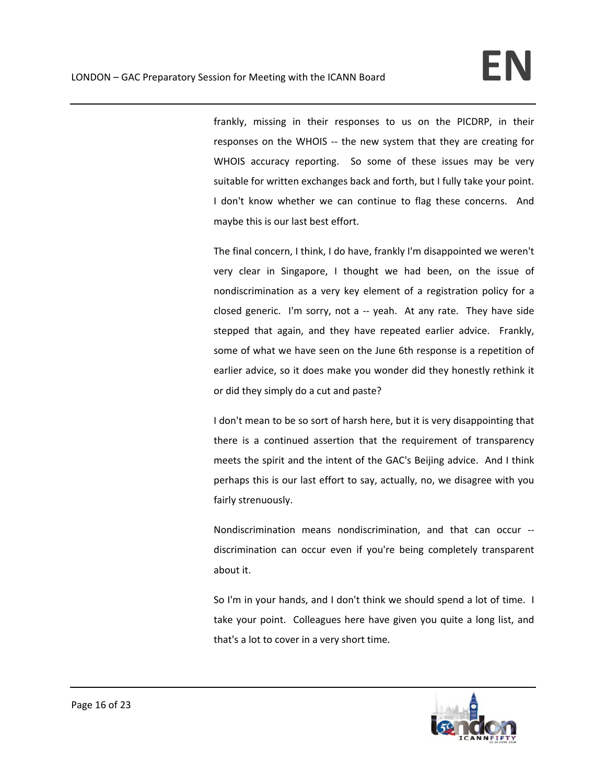frankly, missing in their responses to us on the PICDRP, in their responses on the WHOIS -- the new system that they are creating for WHOIS accuracy reporting. So some of these issues may be very suitable for written exchanges back and forth, but I fully take your point. I don't know whether we can continue to flag these concerns. And maybe this is our last best effort.

The final concern, I think, I do have, frankly I'm disappointed we weren't very clear in Singapore, I thought we had been, on the issue of nondiscrimination as a very key element of a registration policy for a closed generic. I'm sorry, not a -- yeah. At any rate. They have side stepped that again, and they have repeated earlier advice. Frankly, some of what we have seen on the June 6th response is a repetition of earlier advice, so it does make you wonder did they honestly rethink it or did they simply do a cut and paste?

I don't mean to be so sort of harsh here, but it is very disappointing that there is a continued assertion that the requirement of transparency meets the spirit and the intent of the GAC's Beijing advice. And I think perhaps this is our last effort to say, actually, no, we disagree with you fairly strenuously.

Nondiscrimination means nondiscrimination, and that can occur ‐‐ discrimination can occur even if you're being completely transparent about it.

So I'm in your hands, and I don't think we should spend a lot of time. I take your point. Colleagues here have given you quite a long list, and that's a lot to cover in a very short time.

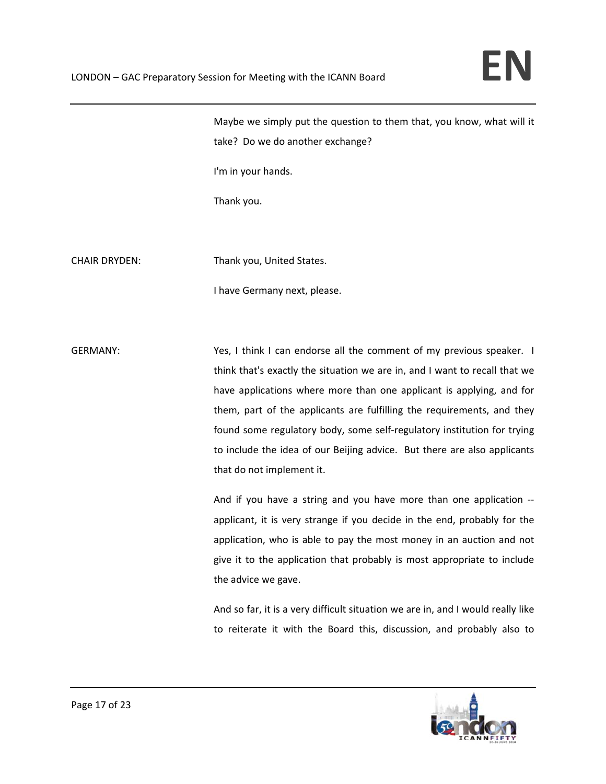Maybe we simply put the question to them that, you know, what will it take? Do we do another exchange?

I'm in your hands.

Thank you.

CHAIR DRYDEN: Thank you, United States.

I have Germany next, please.

GERMANY: **Subset Conservated CERMANY:** Service of think I can endorse all the comment of my previous speaker. I think that's exactly the situation we are in, and I want to recall that we have applications where more than one applicant is applying, and for them, part of the applicants are fulfilling the requirements, and they found some regulatory body, some self‐regulatory institution for trying to include the idea of our Beijing advice. But there are also applicants that do not implement it.

> And if you have a string and you have more than one application ‐‐ applicant, it is very strange if you decide in the end, probably for the application, who is able to pay the most money in an auction and not give it to the application that probably is most appropriate to include the advice we gave.

> And so far, it is a very difficult situation we are in, and I would really like to reiterate it with the Board this, discussion, and probably also to

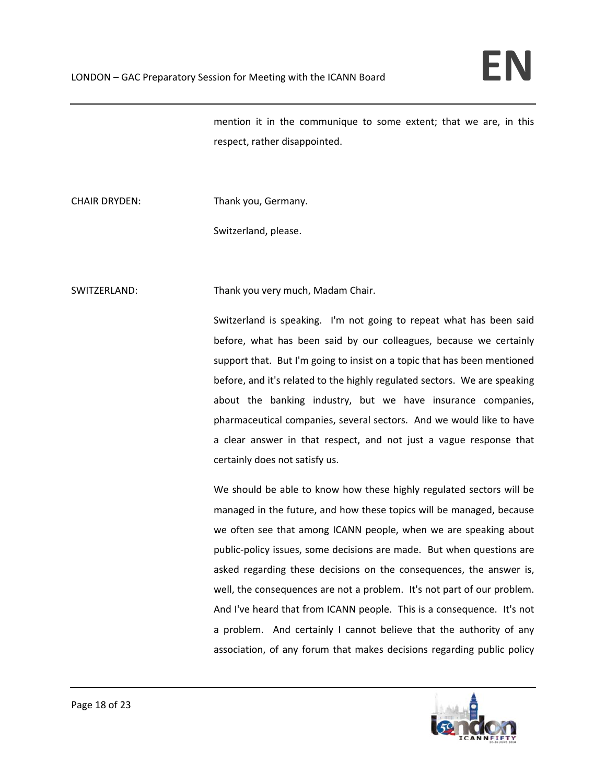mention it in the communique to some extent; that we are, in this respect, rather disappointed.

CHAIR DRYDEN: Thank you, Germany.

Switzerland, please.

SWITZERLAND: Thank you very much, Madam Chair.

Switzerland is speaking. I'm not going to repeat what has been said before, what has been said by our colleagues, because we certainly support that. But I'm going to insist on a topic that has been mentioned before, and it's related to the highly regulated sectors. We are speaking about the banking industry, but we have insurance companies, pharmaceutical companies, several sectors. And we would like to have a clear answer in that respect, and not just a vague response that certainly does not satisfy us.

We should be able to know how these highly regulated sectors will be managed in the future, and how these topics will be managed, because we often see that among ICANN people, when we are speaking about public‐policy issues, some decisions are made. But when questions are asked regarding these decisions on the consequences, the answer is, well, the consequences are not a problem. It's not part of our problem. And I've heard that from ICANN people. This is a consequence. It's not a problem. And certainly I cannot believe that the authority of any association, of any forum that makes decisions regarding public policy

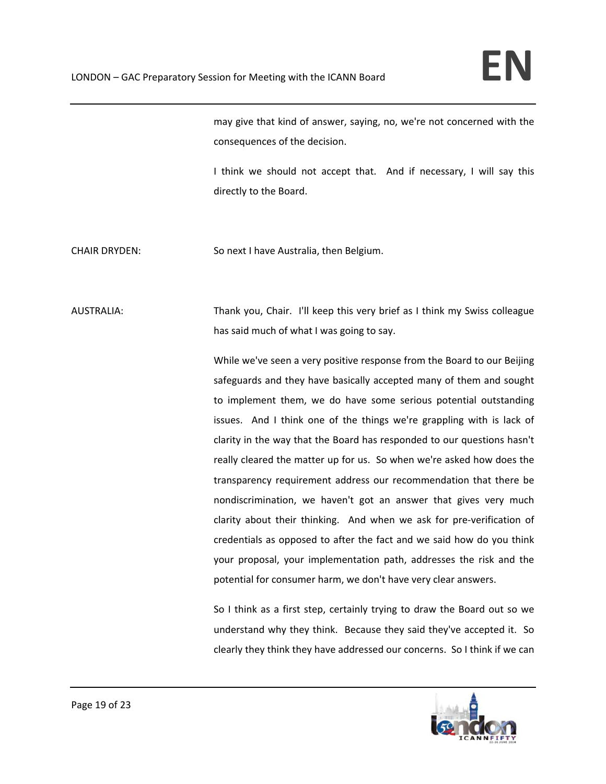may give that kind of answer, saying, no, we're not concerned with the consequences of the decision.

I think we should not accept that. And if necessary, I will say this directly to the Board.

CHAIR DRYDEN: So next I have Australia, then Belgium.

AUSTRALIA: Thank you, Chair. I'll keep this very brief as I think my Swiss colleague has said much of what I was going to say.

> While we've seen a very positive response from the Board to our Beijing safeguards and they have basically accepted many of them and sought to implement them, we do have some serious potential outstanding issues. And I think one of the things we're grappling with is lack of clarity in the way that the Board has responded to our questions hasn't really cleared the matter up for us. So when we're asked how does the transparency requirement address our recommendation that there be nondiscrimination, we haven't got an answer that gives very much clarity about their thinking. And when we ask for pre-verification of credentials as opposed to after the fact and we said how do you think your proposal, your implementation path, addresses the risk and the potential for consumer harm, we don't have very clear answers.

> So I think as a first step, certainly trying to draw the Board out so we understand why they think. Because they said they've accepted it. So clearly they think they have addressed our concerns. So I think if we can

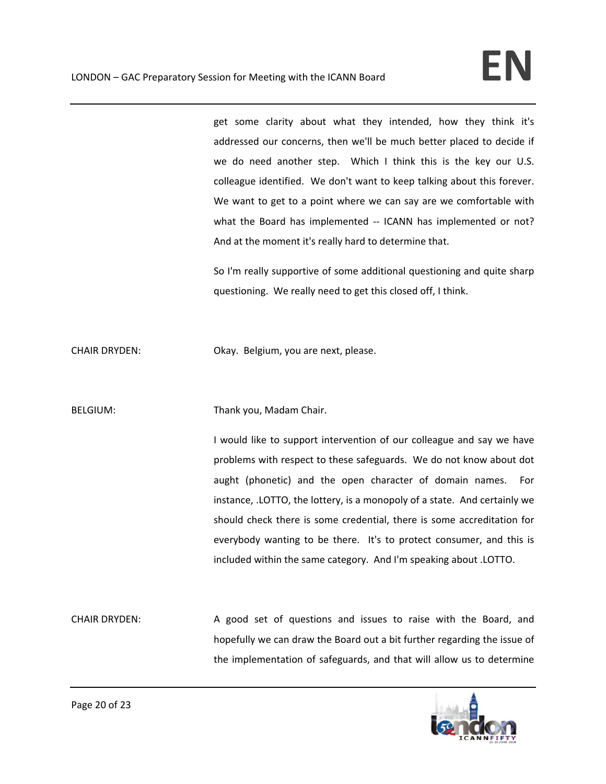get some clarity about what they intended, how they think it's addressed our concerns, then we'll be much better placed to decide if we do need another step. Which I think this is the key our U.S. colleague identified. We don't want to keep talking about this forever. We want to get to a point where we can say are we comfortable with what the Board has implemented -- ICANN has implemented or not? And at the moment it's really hard to determine that.

So I'm really supportive of some additional questioning and quite sharp questioning. We really need to get this closed off, I think.

CHAIR DRYDEN: Okay. Belgium, you are next, please.

BELGIUM: Thank you, Madam Chair.

I would like to support intervention of our colleague and say we have problems with respect to these safeguards. We do not know about dot aught (phonetic) and the open character of domain names. For instance, .LOTTO, the lottery, is a monopoly of a state. And certainly we should check there is some credential, there is some accreditation for everybody wanting to be there. It's to protect consumer, and this is included within the same category. And I'm speaking about .LOTTO.

CHAIR DRYDEN: A good set of questions and issues to raise with the Board, and hopefully we can draw the Board out a bit further regarding the issue of the implementation of safeguards, and that will allow us to determine

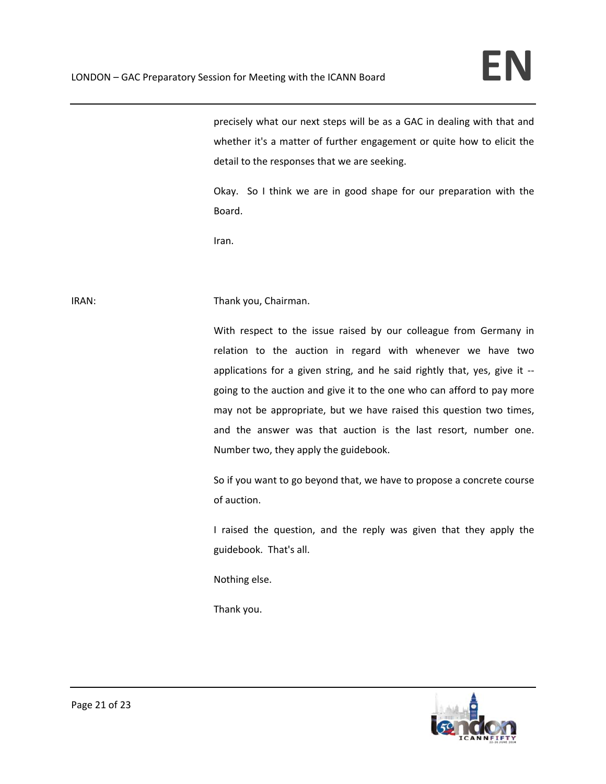precisely what our next steps will be as a GAC in dealing with that and whether it's a matter of further engagement or quite how to elicit the detail to the responses that we are seeking.

Okay. So I think we are in good shape for our preparation with the Board.

Iran.

## IRAN: IRAN: Thank you, Chairman.

With respect to the issue raised by our colleague from Germany in relation to the auction in regard with whenever we have two applications for a given string, and he said rightly that, yes, give it ‐‐ going to the auction and give it to the one who can afford to pay more may not be appropriate, but we have raised this question two times, and the answer was that auction is the last resort, number one. Number two, they apply the guidebook.

So if you want to go beyond that, we have to propose a concrete course of auction.

I raised the question, and the reply was given that they apply the guidebook. That's all.

Nothing else.

Thank you.

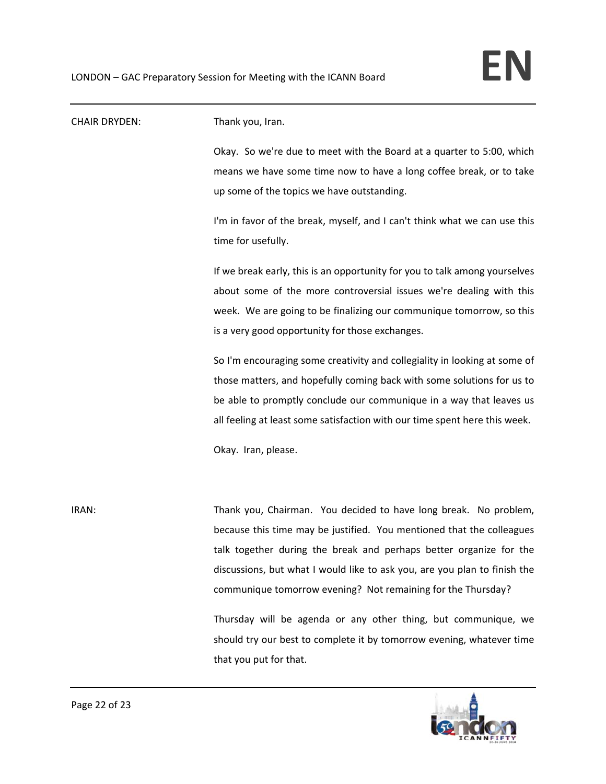| <b>CHAIR DRYDEN:</b> | Thank you, Iran.                                                           |
|----------------------|----------------------------------------------------------------------------|
|                      | Okay. So we're due to meet with the Board at a quarter to 5:00, which      |
|                      | means we have some time now to have a long coffee break, or to take        |
|                      | up some of the topics we have outstanding.                                 |
|                      | I'm in favor of the break, myself, and I can't think what we can use this  |
|                      | time for usefully.                                                         |
|                      | If we break early, this is an opportunity for you to talk among yourselves |
|                      | about some of the more controversial issues we're dealing with this        |
|                      | week. We are going to be finalizing our communique tomorrow, so this       |
|                      | is a very good opportunity for those exchanges.                            |
|                      | So I'm encouraging some creativity and collegiality in looking at some of  |
|                      | those matters, and hopefully coming back with some solutions for us to     |
|                      | be able to promptly conclude our communique in a way that leaves us        |
|                      | all feeling at least some satisfaction with our time spent here this week. |
|                      | Okay. Iran, please.                                                        |
|                      |                                                                            |
| IRAN:                | Thank you, Chairman. You decided to have long break. No problem,           |
|                      | because this time may be justified. You mentioned that the colleagues      |
|                      | talk together during the break and perhaps better organize for the         |
|                      | discussions, but what I would like to ask you, are you plan to finish the  |
|                      | communique tomorrow evening? Not remaining for the Thursday?               |
|                      | Thursday will be agenda or any other thing, but communique, we             |
|                      | should try our best to complete it by tomorrow evening, whatever time      |
|                      | that you put for that.                                                     |